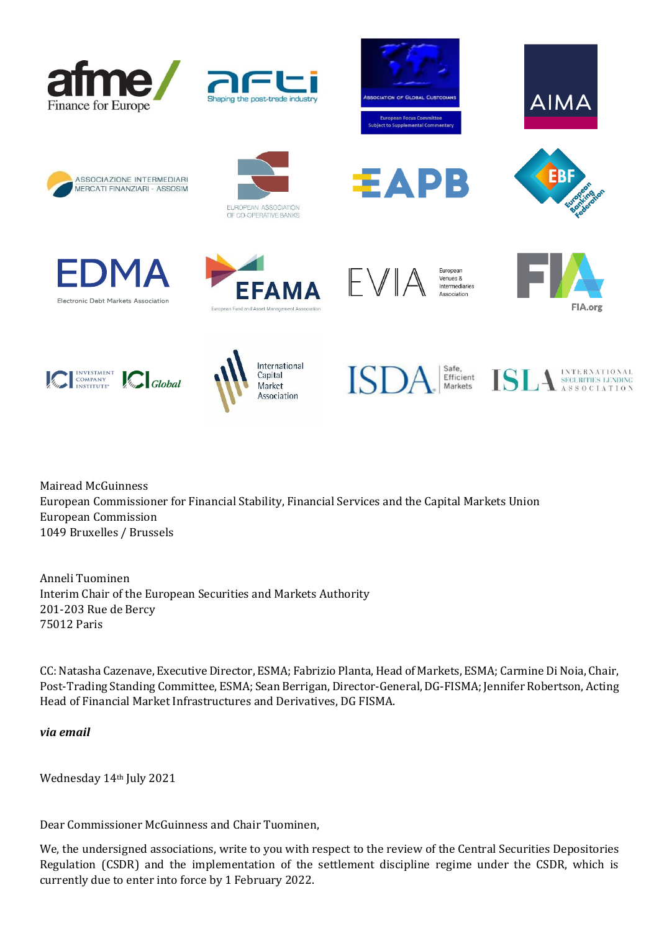

















æА



B



FIA.org









Mairead McGuinness European Commissioner for Financial Stability, Financial Services and the Capital Markets Union European Commission 1049 Bruxelles / Brussels

Anneli Tuominen Interim Chair of the European Securities and Markets Authority 201-203 Rue de Bercy 75012 Paris

CC: Natasha Cazenave, Executive Director, ESMA; Fabrizio Planta, Head of Markets, ESMA; Carmine Di Noia, Chair, Post-Trading Standing Committee, ESMA; Sean Berrigan, Director-General, DG-FISMA; Jennifer Robertson, Acting Head of Financial Market Infrastructures and Derivatives, DG FISMA.

*via email*

Wednesday 14th July 2021

Dear Commissioner McGuinness and Chair Tuominen,

We, the undersigned associations, write to you with respect to the review of the Central Securities Depositories Regulation (CSDR) and the implementation of the settlement discipline regime under the CSDR, which is currently due to enter into force by 1 February 2022.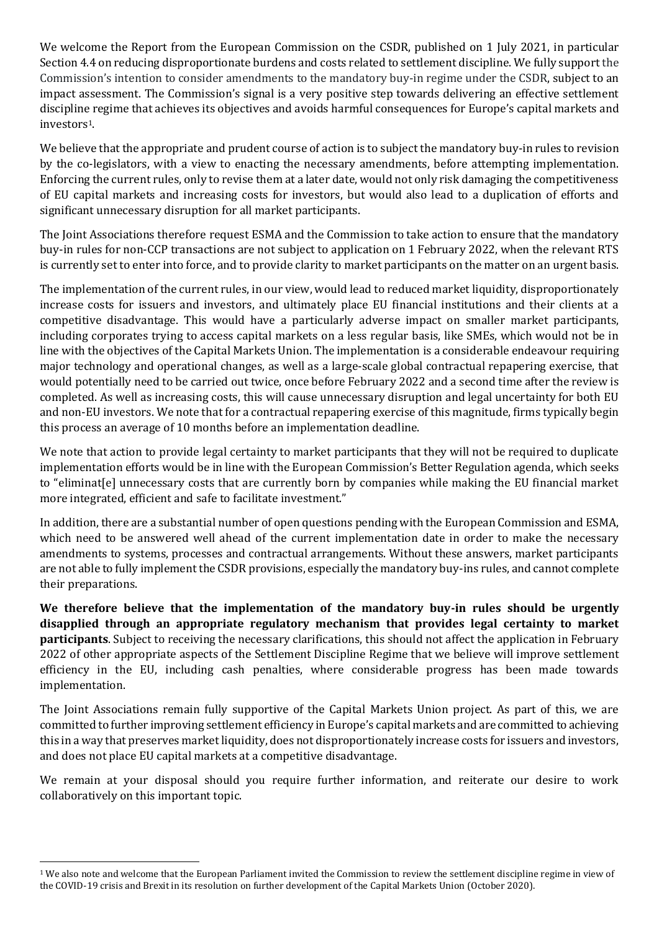We welcome the Report from the European Commission on the CSDR, published on 1 July 2021, in particular Section 4.4 on reducing disproportionate burdens and costs related to settlement discipline. We fully support the Commission's intention to consider amendments to the mandatory buy-in regime under the CSDR, subject to an impact assessment. The Commission's signal is a very positive step towards delivering an effective settlement discipline regime that achieves its objectives and avoids harmful consequences for Europe's capital markets and investors1.

We believe that the appropriate and prudent course of action is to subject the mandatory buy-in rules to revision by the co-legislators, with a view to enacting the necessary amendments, before attempting implementation. Enforcing the current rules, only to revise them at a later date, would not only risk damaging the competitiveness of EU capital markets and increasing costs for investors, but would also lead to a duplication of efforts and significant unnecessary disruption for all market participants.

The Joint Associations therefore request ESMA and the Commission to take action to ensure that the mandatory buy-in rules for non-CCP transactions are not subject to application on 1 February 2022, when the relevant RTS is currently set to enter into force, and to provide clarity to market participants on the matter on an urgent basis.

The implementation of the current rules, in our view, would lead to reduced market liquidity, disproportionately increase costs for issuers and investors, and ultimately place EU financial institutions and their clients at a competitive disadvantage. This would have a particularly adverse impact on smaller market participants, including corporates trying to access capital markets on a less regular basis, like SMEs, which would not be in line with the objectives of the Capital Markets Union. The implementation is a considerable endeavour requiring major technology and operational changes, as well as a large-scale global contractual repapering exercise, that would potentially need to be carried out twice, once before February 2022 and a second time after the review is completed. As well as increasing costs, this will cause unnecessary disruption and legal uncertainty for both EU and non-EU investors. We note that for a contractual repapering exercise of this magnitude, firms typically begin this process an average of 10 months before an implementation deadline.

We note that action to provide legal certainty to market participants that they will not be required to duplicate implementation efforts would be in line with the European Commission's Better Regulation agenda, which seeks to "eliminat[e] unnecessary costs that are currently born by companies while making the EU financial market more integrated, efficient and safe to facilitate investment."

In addition, there are a substantial number of open questions pending with the European Commission and ESMA, which need to be answered well ahead of the current implementation date in order to make the necessary amendments to systems, processes and contractual arrangements. Without these answers, market participants are not able to fully implement the CSDR provisions, especially the mandatory buy-ins rules, and cannot complete their preparations.

**We therefore believe that the implementation of the mandatory buy-in rules should be urgently disapplied through an appropriate regulatory mechanism that provides legal certainty to market participants**. Subject to receiving the necessary clarifications, this should not affect the application in February 2022 of other appropriate aspects of the Settlement Discipline Regime that we believe will improve settlement efficiency in the EU, including cash penalties, where considerable progress has been made towards implementation.

The Joint Associations remain fully supportive of the Capital Markets Union project. As part of this, we are committed to further improving settlement efficiency in Europe's capital markets and are committed to achieving this in a way that preserves market liquidity, does not disproportionately increase costs for issuers and investors, and does not place EU capital markets at a competitive disadvantage.

We remain at your disposal should you require further information, and reiterate our desire to work collaboratively on this important topic.

<sup>1</sup> We also note and welcome that the European Parliament invited the Commission to review the settlement discipline regime in view of the COVID-19 crisis and Brexit in its resolution on further development of the Capital Markets Union (October 2020).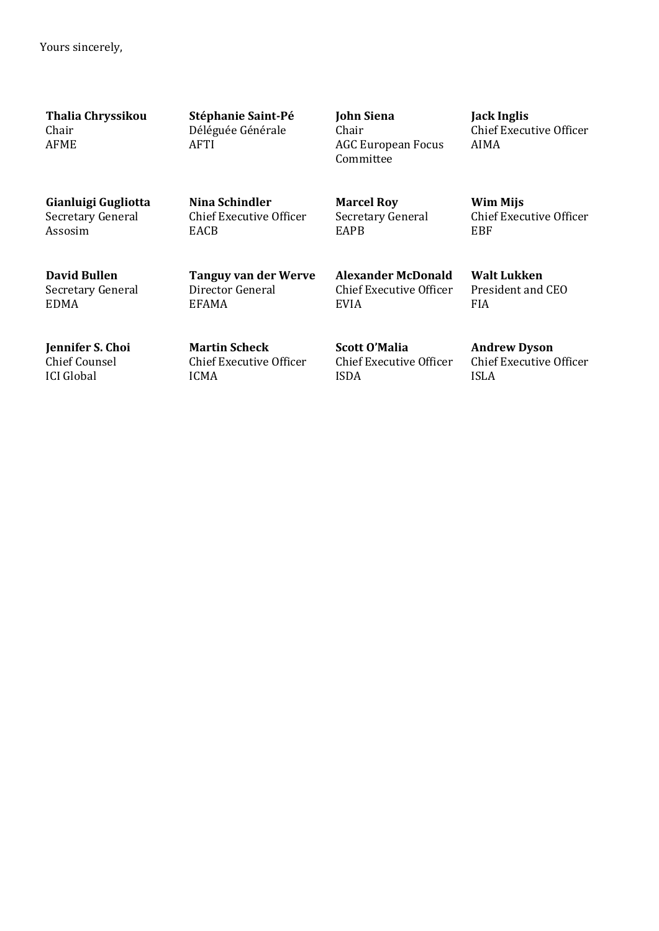Yours sincerely,

**Thalia Chryssikou** Chair AFME

**Stéphanie Saint-Pé** Déléguée Générale AFTI

**John Siena** Chair AGC European Focus Committee

**Jack Inglis** Chief Executive Officer AIMA

Chief Executive Officer

**Wim Mijs**

**Walt Lukken** President and CEO

EBF

FIA

**Gianluigi Gugliotta** Secretary General Assosim

**Nina Schindler** Chief Executive Officer **EACB** 

**Tanguy van der Werve**

Director General

EFAMA

**Marcel Roy** Secretary General EAPB

**Alexander McDonald** Chief Executive Officer EVIA

**Jennifer S. Choi** Chief Counsel ICI Global

**David Bullen** Secretary General

EDMA

**Martin Scheck** Chief Executive Officer ICMA

**Scott O'Malia** Chief Executive Officer ISDA

**Andrew Dyson** Chief Executive Officer ISLA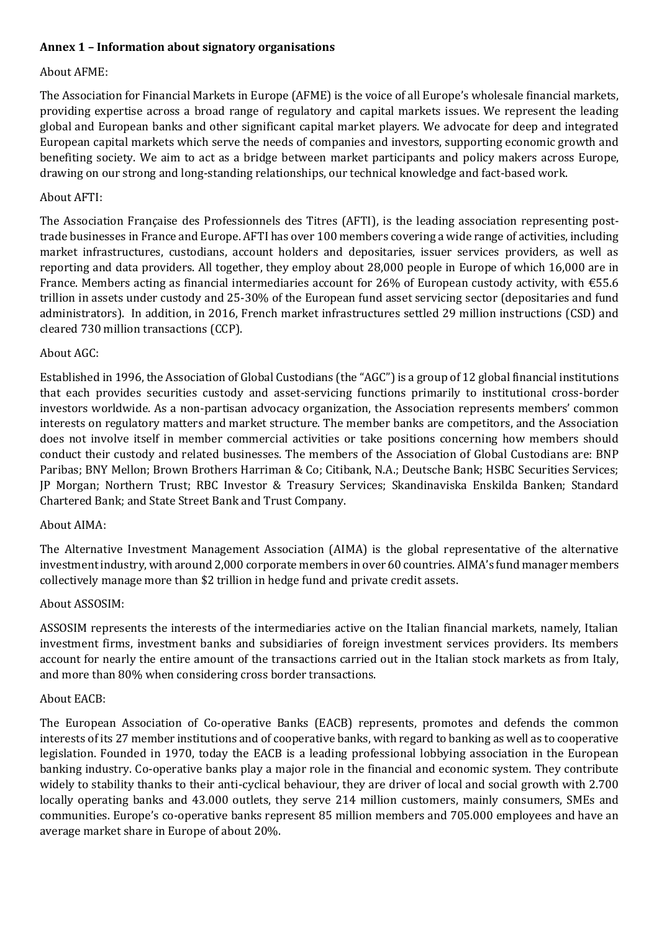# **Annex 1 – Information about signatory organisations**

### About AFME:

The Association for Financial Markets in Europe (AFME) is the voice of all Europe's wholesale financial markets, providing expertise across a broad range of regulatory and capital markets issues. We represent the leading global and European banks and other significant capital market players. We advocate for deep and integrated European capital markets which serve the needs of companies and investors, supporting economic growth and benefiting society. We aim to act as a bridge between market participants and policy makers across Europe, drawing on our strong and long-standing relationships, our technical knowledge and fact-based work.

### About AFTI:

The Association Française des Professionnels des Titres (AFTI), is the leading association representing posttrade businesses in France and Europe. AFTI has over 100 members covering a wide range of activities, including market infrastructures, custodians, account holders and depositaries, issuer services providers, as well as reporting and data providers. All together, they employ about 28,000 people in Europe of which 16,000 are in France. Members acting as financial intermediaries account for 26% of European custody activity, with €55.6 trillion in assets under custody and 25-30% of the European fund asset servicing sector (depositaries and fund administrators). In addition, in 2016, French market infrastructures settled 29 million instructions (CSD) and cleared 730 million transactions (CCP).

### About AGC:

Established in 1996, the Association of Global Custodians (the "AGC") is a group of 12 global financial institutions that each provides securities custody and asset-servicing functions primarily to institutional cross-border investors worldwide. As a non-partisan advocacy organization, the Association represents members' common interests on regulatory matters and market structure. The member banks are competitors, and the Association does not involve itself in member commercial activities or take positions concerning how members should conduct their custody and related businesses. The members of the Association of Global Custodians are: BNP Paribas; BNY Mellon; Brown Brothers Harriman & Co; Citibank, N.A.; Deutsche Bank; HSBC Securities Services; JP Morgan; Northern Trust; RBC Investor & Treasury Services; Skandinaviska Enskilda Banken; Standard Chartered Bank; and State Street Bank and Trust Company.

### About AIMA:

The Alternative Investment Management Association (AIMA) is the global representative of the alternative investment industry, with around 2,000 corporate members in over 60 countries. AIMA's fund manager members collectively manage more than \$2 trillion in hedge fund and private credit assets.

### About ASSOSIM:

ASSOSIM represents the interests of the intermediaries active on the Italian financial markets, namely, Italian investment firms, investment banks and subsidiaries of foreign investment services providers. Its members account for nearly the entire amount of the transactions carried out in the Italian stock markets as from Italy, and more than 80% when considering cross border transactions.

### About EACB:

The European Association of Co-operative Banks (EACB) represents, promotes and defends the common interests of its 27 member institutions and of cooperative banks, with regard to banking as well as to cooperative legislation. Founded in 1970, today the EACB is a leading professional lobbying association in the European banking industry. Co-operative banks play a major role in the financial and economic system. They contribute widely to stability thanks to their anti-cyclical behaviour, they are driver of local and social growth with 2.700 locally operating banks and 43.000 outlets, they serve 214 million customers, mainly consumers, SMEs and communities. Europe's co-operative banks represent 85 million members and 705.000 employees and have an average market share in Europe of about 20%.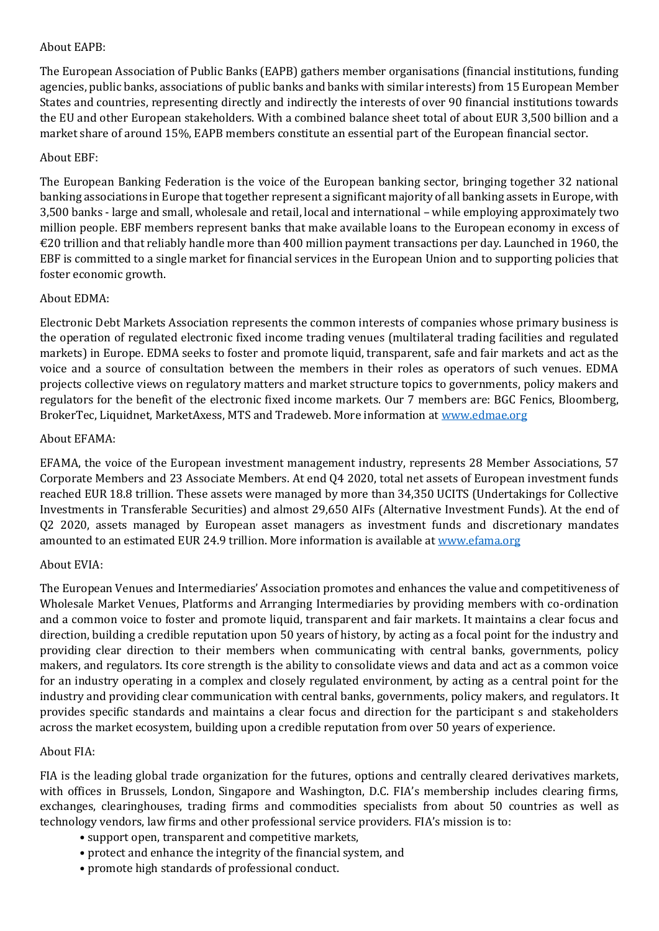# About EAPB:

The European Association of Public Banks (EAPB) gathers member organisations (financial institutions, funding agencies, public banks, associations of public banks and banks with similar interests) from 15 European Member States and countries, representing directly and indirectly the interests of over 90 financial institutions towards the EU and other European stakeholders. With a combined balance sheet total of about EUR 3,500 billion and a market share of around 15%, EAPB members constitute an essential part of the European financial sector.

# About EBF:

The European Banking Federation is the voice of the European banking sector, bringing together 32 national banking associations in Europe that together represent a significant majority of all banking assets in Europe, with 3,500 banks - large and small, wholesale and retail, local and international – while employing approximately two million people. EBF members represent banks that make available loans to the European economy in excess of €20 trillion and that reliably handle more than 400 million payment transactions per day. Launched in 1960, the EBF is committed to a single market for financial services in the European Union and to supporting policies that foster economic growth.

# About EDMA:

Electronic Debt Markets Association represents the common interests of companies whose primary business is the operation of regulated electronic fixed income trading venues (multilateral trading facilities and regulated markets) in Europe. EDMA seeks to foster and promote liquid, transparent, safe and fair markets and act as the voice and a source of consultation between the members in their roles as operators of such venues. EDMA projects collective views on regulatory matters and market structure topics to governments, policy makers and regulators for the benefit of the electronic fixed income markets. Our 7 members are: BGC Fenics, Bloomberg, BrokerTec, Liquidnet, MarketAxess, MTS and Tradeweb. More information at [www.edmae.org](http://www.edmae.org/)

# About EFAMA:

EFAMA, the voice of the European investment management industry, represents 28 Member Associations, 57 Corporate Members and 23 Associate Members. At end Q4 2020, total net assets of European investment funds reached EUR 18.8 trillion. These assets were managed by more than 34,350 UCITS (Undertakings for Collective Investments in Transferable Securities) and almost 29,650 AIFs (Alternative Investment Funds). At the end of Q2 2020, assets managed by European asset managers as investment funds and discretionary mandates amounted to an estimated EUR 24.9 trillion. More information is available at [www.efama.org](http://www.efama.org/)

### About EVIA:

The European Venues and Intermediaries' Association promotes and enhances the value and competitiveness of Wholesale Market Venues, Platforms and Arranging Intermediaries by providing members with co-ordination and a common voice to foster and promote liquid, transparent and fair markets. It maintains a clear focus and direction, building a credible reputation upon 50 years of history, by acting as a focal point for the industry and providing clear direction to their members when communicating with central banks, governments, policy makers, and regulators. Its core strength is the ability to consolidate views and data and act as a common voice for an industry operating in a complex and closely regulated environment, by acting as a central point for the industry and providing clear communication with central banks, governments, policy makers, and regulators. It provides specific standards and maintains a clear focus and direction for the participant s and stakeholders across the market ecosystem, building upon a credible reputation from over 50 years of experience.

### About FIA:

FIA is the leading global trade organization for the futures, options and centrally cleared derivatives markets, with offices in Brussels, London, Singapore and Washington, D.C. FIA's membership includes clearing firms, exchanges, clearinghouses, trading firms and commodities specialists from about 50 countries as well as technology vendors, law firms and other professional service providers. FIA's mission is to:

- support open, transparent and competitive markets,
- protect and enhance the integrity of the financial system, and
- promote high standards of professional conduct.